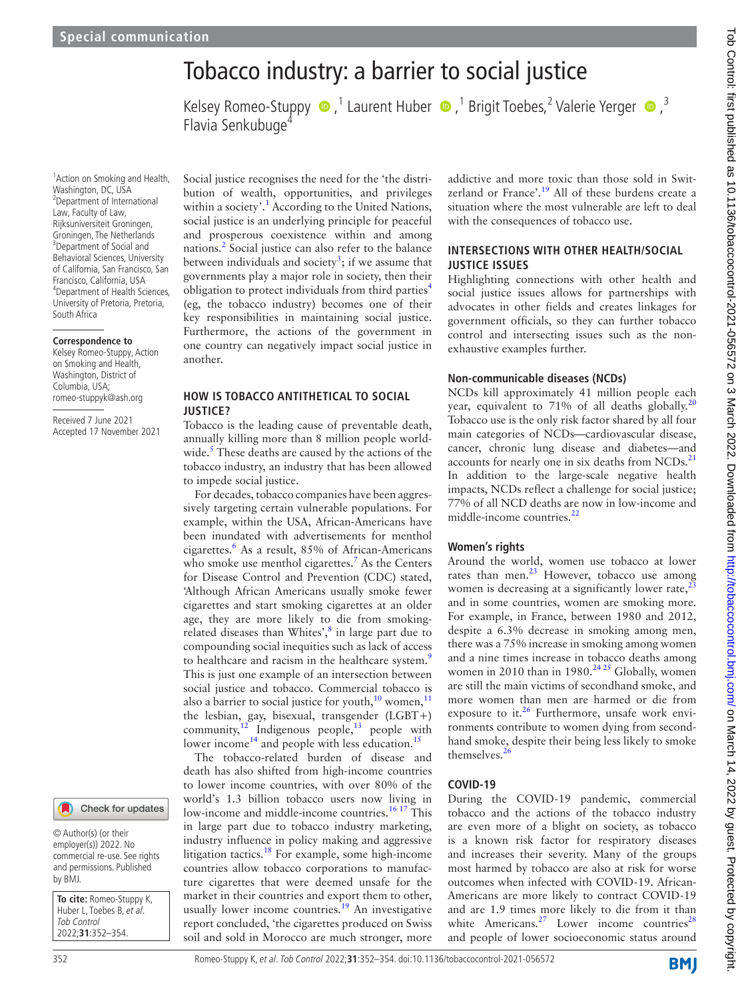# Tobacco industry: a barrier to social justice

Kelsey Romeo-Stuppy  $\bullet$ , <sup>1</sup> Laurent Huber  $\bullet$ , <sup>1</sup> Brigit Toebes, <sup>2</sup> Valerie Yerger  $\bullet$ , <sup>3</sup> Flavia Senkubuge<sup>4</sup>

1 Action on Smoking and Health, Washington, DC, USA 2 Department of International Law, Faculty of Law, Rijksuniversiteit Groningen, Groningen, The Netherlands <sup>3</sup>Department of Social and Behavioral Sciences, University of California, San Francisco, San Francisco, California, USA 4 Department of Health Sciences, University of Pretoria, Pretoria, South Africa

#### **Correspondence to**

Kelsey Romeo-Stuppy, Action on Smoking and Health, Washington, District of Columbia, USA; romeo-stuppyk@ash.org

Received 7 June 2021 Accepted 17 November 2021

#### Check for updates

© Author(s) (or their employer(s)) 2022. No commercial re-use. See rights and permissions. Published by BMJ.

**To cite:** Romeo-Stuppy K, Huber L, Toebes B, et al. Tob Control 2022;**31**:352–354.

Social justice recognises the need for the 'the distribution of wealth, opportunities, and privileges within a society'.<sup>[1](#page-2-0)</sup> According to the United Nations, social justice is an underlying principle for peaceful and prosperous coexistence within and among nations.<sup>2</sup> Social justice can also refer to the balance between individuals and society<sup>[3](#page-2-2)</sup>; if we assume that governments play a major role in society, then their obligation to protect individuals from third parties<sup>[4](#page-2-3)</sup> (eg, the tobacco industry) becomes one of their key responsibilities in maintaining social justice. Furthermore, the actions of the government in one country can negatively impact social justice in another.

#### **HOW IS TOBACCO ANTITHETICAL TO SOCIAL JUSTICE?**

Tobacco is the leading cause of preventable death, annually killing more than 8 million people world-wide.<sup>[5](#page-2-4)</sup> These deaths are caused by the actions of the tobacco industry, an industry that has been allowed to impede social justice.

For decades, tobacco companies have been aggressively targeting certain vulnerable populations. For example, within the USA, African-Americans have been inundated with advertisements for menthol cigarettes.<sup>6</sup> As a result, 85% of African-Americans who smoke use menthol cigarettes.<sup>[7](#page-2-6)</sup> As the Centers for Disease Control and Prevention (CDC) stated, 'Although African Americans usually smoke fewer cigarettes and start smoking cigarettes at an older age, they are more likely to die from smoking-related diseases than Whites',<sup>[8](#page-2-7)</sup> in large part due to compounding social inequities such as lack of access to healthcare and racism in the healthcare system.<sup>[9](#page-2-8)</sup> This is just one example of an intersection between social justice and tobacco. Commercial tobacco is also a barrier to social justice for youth, $10$  women, $11$ the lesbian, gay, bisexual, transgender (LGBT+) community, $12$  Indigenous people,  $13$  people with lower income<sup>14</sup> and people with less education.<sup>15</sup>

The tobacco-related burden of disease and death has also shifted from high-income countries to lower income countries, with over 80% of the world's 1.3 billion tobacco users now living in low-income and middle-income countries.<sup>16 17</sup> This in large part due to tobacco industry marketing, industry influence in policy making and aggressive litigation tactics.<sup>18</sup> For example, some high-income countries allow tobacco corporations to manufacture cigarettes that were deemed unsafe for the market in their countries and export them to other, usually lower income countries.<sup>19</sup> An investigative report concluded, 'the cigarettes produced on Swiss soil and sold in Morocco are much stronger, more

addictive and more toxic than those sold in Switzerland or France'.<sup>19</sup> All of these burdens create a situation where the most vulnerable are left to deal with the consequences of tobacco use.

#### **INTERSECTIONS WITH OTHER HEALTH/SOCIAL JUSTICE ISSUES**

Highlighting connections with other health and social justice issues allows for partnerships with advocates in other fields and creates linkages for government officials, so they can further tobacco control and intersecting issues such as the nonexhaustive examples further.

#### **Non-communicable diseases (NCDs)**

NCDs kill approximately 41 million people each year, equivalent to 71% of all deaths globally.<sup>[20](#page-2-18)</sup> Tobacco use is the only risk factor shared by all four main categories of NCDs—cardiovascular disease, cancer, chronic lung disease and diabetes—and accounts for nearly one in six deaths from  $NCDs$ <sup>[21](#page-2-19)</sup> In addition to the large-scale negative health impacts, NCDs reflect a challenge for social justice; 77% of all NCD deaths are now in low-income and middle-income countries.<sup>[22](#page-2-20)</sup>

#### **Women's rights**

Around the world, women use tobacco at lower rates than men. $^{23}$  However, tobacco use among women is decreasing at a significantly lower rate, $^{23}$  $^{23}$  $^{23}$ and in some countries, women are smoking more. For example, in France, between 1980 and 2012, despite a 6.3% decrease in smoking among men, there was a 75% increase in smoking among women and a nine times increase in tobacco deaths among women in 2010 than in 1980.<sup>24 25</sup> Globally, women are still the main victims of secondhand smoke, and more women than men are harmed or die from exposure to it. $26$  Furthermore, unsafe work environments contribute to women dying from secondhand smoke, despite their being less likely to smoke themselves. $2<sup>6</sup>$ 

#### **COVID-19**

During the COVID-19 pandemic, commercial tobacco and the actions of the tobacco industry are even more of a blight on society, as tobacco is a known risk factor for respiratory diseases and increases their severity. Many of the groups most harmed by tobacco are also at risk for worse outcomes when infected with COVID-19. African-Americans are more likely to contract COVID-19 and are 1.9 times more likely to die from it than white Americans.<sup>[27](#page-2-24)</sup> Lower income countries<sup>[28](#page-2-25)</sup> and people of lower socioeconomic status around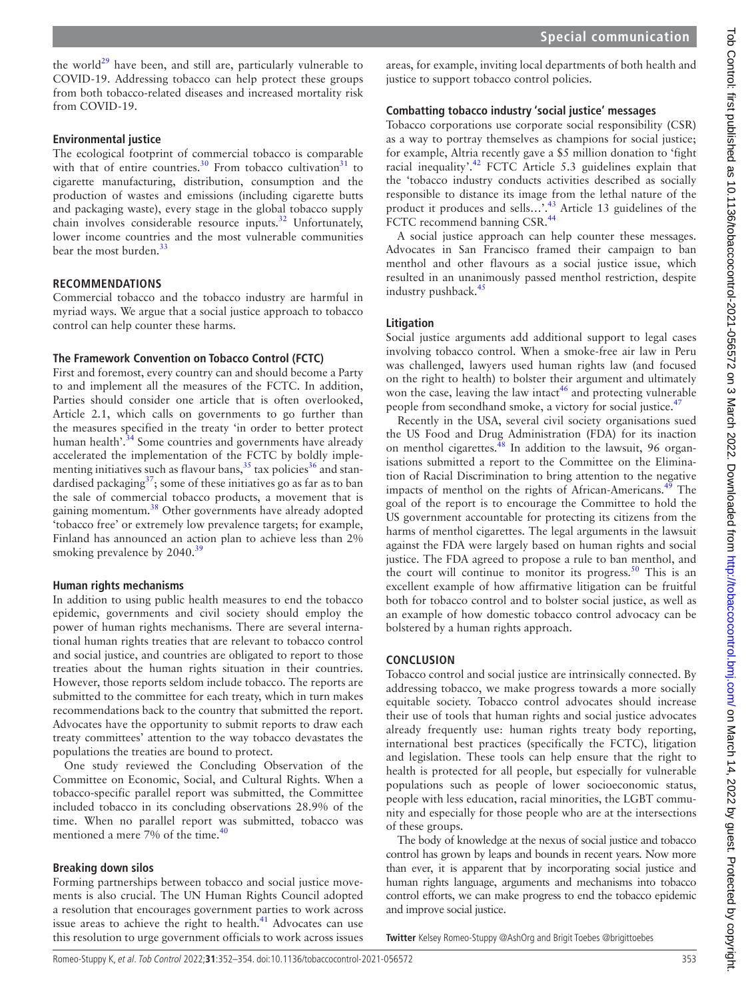the world<sup>[29](#page-2-26)</sup> have been, and still are, particularly vulnerable to COVID-19. Addressing tobacco can help protect these groups from both tobacco-related diseases and increased mortality risk from COVID-19.

### **Environmental justice**

The ecological footprint of commercial tobacco is comparable with that of entire countries.<sup>30</sup> From tobacco cultivation<sup>[31](#page-2-28)</sup> to cigarette manufacturing, distribution, consumption and the production of wastes and emissions (including cigarette butts and packaging waste), every stage in the global tobacco supply chain involves considerable resource inputs. $32$  Unfortunately, lower income countries and the most vulnerable communities bear the most burden.<sup>3</sup>

### **RECOMMENDATIONS**

Commercial tobacco and the tobacco industry are harmful in myriad ways. We argue that a social justice approach to tobacco control can help counter these harms.

## **The Framework Convention on Tobacco Control (FCTC)**

First and foremost, every country can and should become a Party to and implement all the measures of the FCTC. In addition, Parties should consider one article that is often overlooked, Article 2.1, which calls on governments to go further than the measures specified in the treaty 'in order to better protect human health'.<sup>34</sup> Some countries and governments have already accelerated the implementation of the FCTC by boldly implementing initiatives such as flavour bans,  $35$  tax policies  $36$  and standardised packaging $3^7$ ; some of these initiatives go as far as to ban the sale of commercial tobacco products, a movement that is gaining momentum.[38](#page-2-35) Other governments have already adopted 'tobacco free' or extremely low prevalence targets; for example, Finland has announced an action plan to achieve less than 2% smoking prevalence by 2040.<sup>[39](#page-2-36)</sup>

### **Human rights mechanisms**

In addition to using public health measures to end the tobacco epidemic, governments and civil society should employ the power of human rights mechanisms. There are several international human rights treaties that are relevant to tobacco control and social justice, and countries are obligated to report to those treaties about the human rights situation in their countries. However, those reports seldom include tobacco. The reports are submitted to the committee for each treaty, which in turn makes recommendations back to the country that submitted the report. Advocates have the opportunity to submit reports to draw each treaty committees' attention to the way tobacco devastates the populations the treaties are bound to protect.

One study reviewed the Concluding Observation of the Committee on Economic, Social, and Cultural Rights. When a tobacco-specific parallel report was submitted, the Committee included tobacco in its concluding observations 28.9% of the time. When no parallel report was submitted, tobacco was mentioned a mere 7% of the time.<sup>[40](#page-2-37)</sup>

### **Breaking down silos**

Forming partnerships between tobacco and social justice movements is also crucial. The UN Human Rights Council adopted a resolution that encourages government parties to work across issue areas to achieve the right to health.<sup>41</sup> Advocates can use this resolution to urge government officials to work across issues areas, for example, inviting local departments of both health and justice to support tobacco control policies.

# **Combatting tobacco industry 'social justice' messages**

Tobacco corporations use corporate social responsibility (CSR) as a way to portray themselves as champions for social justice; for example, Altria recently gave a \$5 million donation to 'fight racial inequality'.<sup>[42](#page-2-39)</sup> FCTC Article 5.3 guidelines explain that the 'tobacco industry conducts activities described as socially responsible to distance its image from the lethal nature of the product it produces and sells…'[.43](#page-2-40) Article 13 guidelines of the FCTC recommend banning CSR.<sup>44</sup>

A social justice approach can help counter these messages. Advocates in San Francisco framed their campaign to ban menthol and other flavours as a social justice issue, which resulted in an unanimously passed menthol restriction, despite industry pushback.<sup>45</sup>

### **Litigation**

Social justice arguments add additional support to legal cases involving tobacco control. When a smoke-free air law in Peru was challenged, lawyers used human rights law (and focused on the right to health) to bolster their argument and ultimately won the case, leaving the law intact<sup>[46](#page-2-43)</sup> and protecting vulnerable people from secondhand smoke, a victory for social justice.<sup>47</sup>

Recently in the USA, several civil society organisations sued the US Food and Drug Administration (FDA) for its inaction on menthol cigarettes.<sup> $48$ </sup> In addition to the lawsuit, 96 organisations submitted a report to the Committee on the Elimination of Racial Discrimination to bring attention to the negative impacts of menthol on the rights of African-Americans.<sup>[49](#page-2-46)</sup> The goal of the report is to encourage the Committee to hold the US government accountable for protecting its citizens from the harms of menthol cigarettes. The legal arguments in the lawsuit against the FDA were largely based on human rights and social justice. The FDA agreed to propose a rule to ban menthol, and the court will continue to monitor its progress.<sup>50</sup> This is an excellent example of how affirmative litigation can be fruitful both for tobacco control and to bolster social justice, as well as an example of how domestic tobacco control advocacy can be bolstered by a human rights approach.

# **CONCLUSION**

Tobacco control and social justice are intrinsically connected. By addressing tobacco, we make progress towards a more socially equitable society. Tobacco control advocates should increase their use of tools that human rights and social justice advocates already frequently use: human rights treaty body reporting, international best practices (specifically the FCTC), litigation and legislation. These tools can help ensure that the right to health is protected for all people, but especially for vulnerable populations such as people of lower socioeconomic status, people with less education, racial minorities, the LGBT community and especially for those people who are at the intersections of these groups.

The body of knowledge at the nexus of social justice and tobacco control has grown by leaps and bounds in recent years. Now more than ever, it is apparent that by incorporating social justice and human rights language, arguments and mechanisms into tobacco control efforts, we can make progress to end the tobacco epidemic and improve social justice.

**Twitter** Kelsey Romeo-Stuppy [@AshOrg](https://twitter.com/AshOrg) and Brigit Toebes [@brigittoebes](https://twitter.com/brigittoebes)